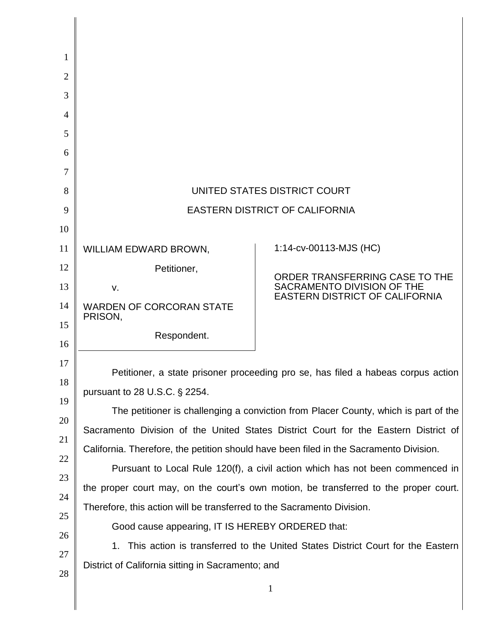| 1              |                                                                                                                                                                                                                                                                      |                                                                                                       |  |
|----------------|----------------------------------------------------------------------------------------------------------------------------------------------------------------------------------------------------------------------------------------------------------------------|-------------------------------------------------------------------------------------------------------|--|
| 2              |                                                                                                                                                                                                                                                                      |                                                                                                       |  |
| 3              |                                                                                                                                                                                                                                                                      |                                                                                                       |  |
| $\overline{4}$ |                                                                                                                                                                                                                                                                      |                                                                                                       |  |
| 5              |                                                                                                                                                                                                                                                                      |                                                                                                       |  |
| 6              |                                                                                                                                                                                                                                                                      |                                                                                                       |  |
| 7              |                                                                                                                                                                                                                                                                      |                                                                                                       |  |
| 8              | UNITED STATES DISTRICT COURT                                                                                                                                                                                                                                         |                                                                                                       |  |
| 9              | <b>EASTERN DISTRICT OF CALIFORNIA</b>                                                                                                                                                                                                                                |                                                                                                       |  |
| 10             |                                                                                                                                                                                                                                                                      |                                                                                                       |  |
| 11             | WILLIAM EDWARD BROWN,                                                                                                                                                                                                                                                | 1:14-cv-00113-MJS (HC)                                                                                |  |
| 12             | Petitioner,                                                                                                                                                                                                                                                          | ORDER TRANSFERRING CASE TO THE<br>SACRAMENTO DIVISION OF THE<br><b>EASTERN DISTRICT OF CALIFORNIA</b> |  |
| 13             | v.                                                                                                                                                                                                                                                                   |                                                                                                       |  |
| 14             | <b>WARDEN OF CORCORAN STATE</b><br>PRISON,                                                                                                                                                                                                                           |                                                                                                       |  |
| 15             | Respondent.                                                                                                                                                                                                                                                          |                                                                                                       |  |
| 16<br>17       |                                                                                                                                                                                                                                                                      |                                                                                                       |  |
| 18             | Petitioner, a state prisoner proceeding pro se, has filed a habeas corpus action                                                                                                                                                                                     |                                                                                                       |  |
| 19             | pursuant to 28 U.S.C. § 2254.                                                                                                                                                                                                                                        |                                                                                                       |  |
| 20             | The petitioner is challenging a conviction from Placer County, which is part of the<br>Sacramento Division of the United States District Court for the Eastern District of<br>California. Therefore, the petition should have been filed in the Sacramento Division. |                                                                                                       |  |
| 21             |                                                                                                                                                                                                                                                                      |                                                                                                       |  |
| 22             |                                                                                                                                                                                                                                                                      |                                                                                                       |  |
| 23             | Pursuant to Local Rule 120(f), a civil action which has not been commenced in<br>the proper court may, on the court's own motion, be transferred to the proper court.<br>Therefore, this action will be transferred to the Sacramento Division.                      |                                                                                                       |  |
| 24             |                                                                                                                                                                                                                                                                      |                                                                                                       |  |
| 25             |                                                                                                                                                                                                                                                                      |                                                                                                       |  |
| 26             | Good cause appearing, IT IS HEREBY ORDERED that:                                                                                                                                                                                                                     |                                                                                                       |  |
| 27             | This action is transferred to the United States District Court for the Eastern<br>1.                                                                                                                                                                                 |                                                                                                       |  |
| 28             | District of California sitting in Sacramento; and                                                                                                                                                                                                                    |                                                                                                       |  |
|                |                                                                                                                                                                                                                                                                      | 1                                                                                                     |  |
|                |                                                                                                                                                                                                                                                                      |                                                                                                       |  |